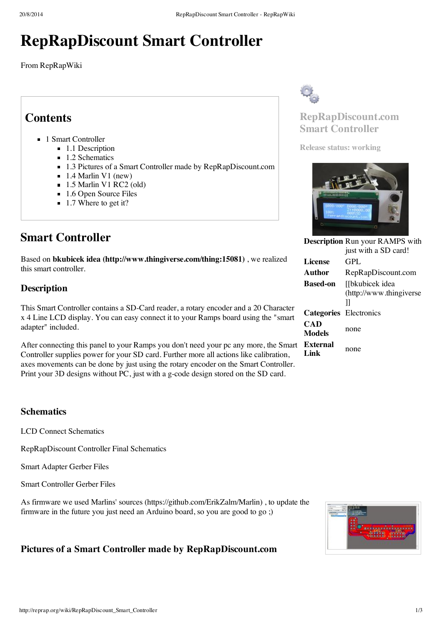# **RepRapDiscount Smart Controller**

From RepRapWiki

## **Contents**

- 1 Smart [Controller](#page-0-0)
	- $\blacksquare$  1.1 [Description](#page-0-1)
	- 1.2 [Schematics](#page-0-2)
	- 1.3 Pictures of a Smart Controller made by [RepRapDiscount.com](#page-0-3)
	- $\blacksquare$  1.4 [Marlin](#page-1-0) V1 (new)
	- $\blacksquare$  1.5 [Marlin](#page-1-1) V1 RC2 (old)
	- 1.6 Open [Source](#page-2-0) Files
	- 1.7 Where to get it?

# <span id="page-0-0"></span>**Smart Controller**

Based on **bkubicek idea [\(http://www.thingiverse.com/thing:15081\)](http://www.thingiverse.com/thing:15081)** , we realized this smart controller.

## <span id="page-0-1"></span>**Description**

This Smart Controller contains a SD-Card reader, a rotary encoder and a 20 Character x 4 Line LCD display. You can easy connect it to your Ramps board using the "smart adapter" included.

After connecting this panel to your Ramps you don't need your pc any more, the Smart Controller supplies power for your SD card. Further more all actions like calibration, axes movements can be done by just using the rotary encoder on the Smart Controller. Print your 3D designs without PC, just with a g-code design stored on the SD card.

## <span id="page-0-2"></span>**Schematics**

LCD Connect [Schematics](http://reprap.org/mediawiki/images/7/79/LCD_connect_SCHDOC.pdf)

[RepRapDiscount](http://reprap.org/mediawiki/images/7/70/Controller_final_reprapdiscount.pdf) Controller Final Schematics

Smart [Adapter](http://reprap.org/mediawiki/images/3/31/Smart_Adapter_gerber.rar) Gerber Files

Smart [Controller](http://reprap.org/mediawiki/images/d/dc/Smart_Controller_gerber.rar) Gerber Files

As firmware we used Marlins' sources [\(https://github.com/ErikZalm/Marlin\)](https://github.com/ErikZalm/Marlin) , to update the firmware in the future you just need an Arduino board, so you are good to go ;)

## <span id="page-0-3"></span>**Pictures of a Smart Controller made by RepRapDiscount.com**



## **RepRapDiscount.com Smart Controller**

**Release status: working**



|                        | <b>Description Run your RAMPS with</b> |
|------------------------|----------------------------------------|
|                        | just with a SD card!                   |
| License                | GPL.                                   |
| Author                 | RepRapDiscount.com                     |
| <b>Based-on</b>        | [[bkubicek idea                        |
|                        | (http://www.thingiverse                |
|                        | Ш                                      |
| Categories Electronics |                                        |
| CAD<br><b>Models</b>   | none                                   |
| External<br>Link       | none                                   |

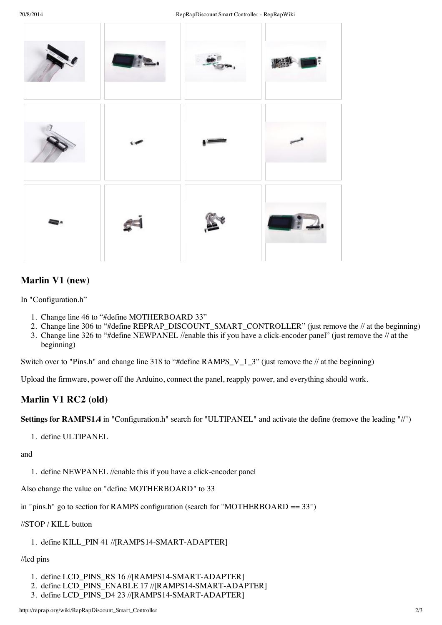

## <span id="page-1-0"></span>**Marlin V1 (new)**

In "Configuration.h"

- 1. Change line 46 to "#define MOTHERBOARD 33"
- 2. Change line 306 to "#define REPRAP\_DISCOUNT\_SMART\_CONTROLLER" (just remove the // at the beginning)
- 3. Change line 326 to "#define NEWPANEL //enable this if you have a click-encoder panel" (just remove the // at the beginning)

Switch over to "Pins.h" and change line 318 to "#define RAMPS V 1  $3$ " (just remove the // at the beginning)

Upload the firmware, power off the Arduino, connect the panel, reapply power, and everything should work.

## <span id="page-1-1"></span>**Marlin V1 RC2 (old)**

**Settings for RAMPS1.4** in "Configuration.h" search for "ULTIPANEL" and activate the define (remove the leading "//")

1. define ULTIPANEL

and

1. define NEWPANEL //enable this if you have a click-encoder panel

Also change the value on "define MOTHERBOARD" to 33

in "pins.h" go to section for RAMPS configuration (search for "MOTHERBOARD == 33")

#### //STOP / KILL button

### 1. define KILL\_PIN 41 //[RAMPS14-SMART-ADAPTER]

#### //lcd pins

- 1. define LCD\_PINS\_RS 16 //[RAMPS14-SMART-ADAPTER]
- 2. define LCD\_PINS\_ENABLE 17 //[RAMPS14-SMART-ADAPTER]
- 3. define LCD\_PINS\_D4 23 //[RAMPS14-SMART-ADAPTER]